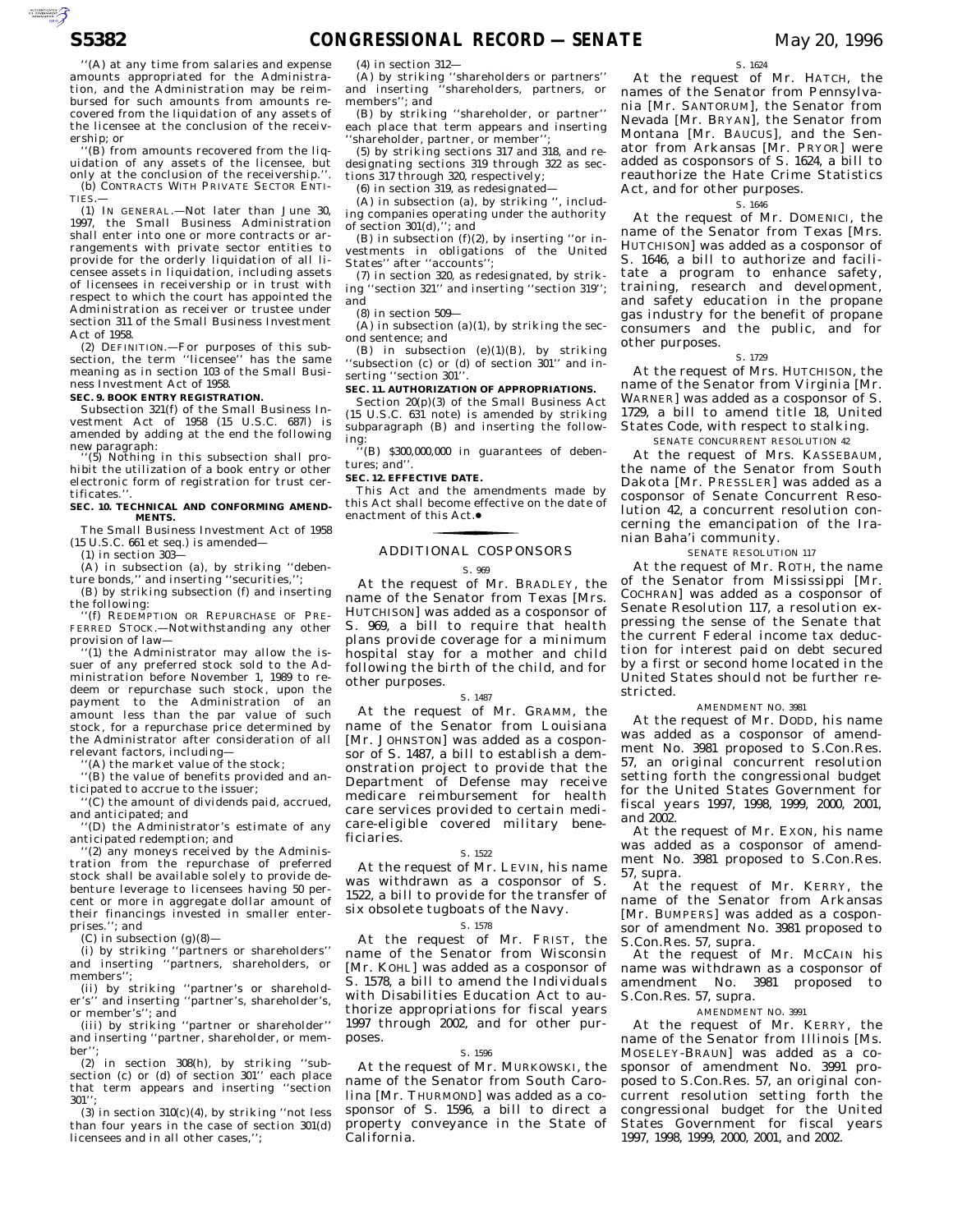''(A) at any time from salaries and expense amounts appropriated for the Administration, and the Administration may be reimbursed for such amounts from amounts recovered from the liquidation of any assets of the licensee at the conclusion of the receivership; or

''(B) from amounts recovered from the liquidation of any assets of the licensee, but only at the conclusion of the receivership.''. (b) CONTRACTS WITH PRIVATE SECTOR ENTI-TIES.—

(1) IN GENERAL.—Not later than June 30, 1997, the Small Business Administration shall enter into one or more contracts or arrangements with private sector entities to provide for the orderly liquidation of all licensee assets in liquidation, including assets of licensees in receivership or in trust with respect to which the court has appointed the Administration as receiver or trustee under section 311 of the Small Business Investment Act of 1958.

(2) DEFINITION.—For purposes of this sub-section, the term ''licensee'' has the same meaning as in section 103 of the Small Business Investment Act of 1958.

### **SEC. 9. BOOK ENTRY REGISTRATION.**

Subsection 321(f) of the Small Business Investment Act of 1958 (15 U.S.C. 687*l*) is amended by adding at the end the following new paragraph: ''(5) Nothing in this subsection shall pro-

hibit the utilization of a book entry or other electronic form of registration for trust certificates.'

### **SEC. 10. TECHNICAL AND CONFORMING AMEND-MENTS.**

The Small Business Investment Act of 1958 (15 U.S.C. 661 et seq.) is amended—

 $(1)$  in section 303 $-$ 

(A) in subsection (a), by striking ''debenture bonds,'' and inserting ''securities,'';

(B) by striking subsection (f) and inserting

the following: ''(f) REDEMPTION OR REPURCHASE OF PRE-FERRED STOCK.—Notwithstanding any other provision of law—

''(1) the Administrator may allow the issuer of any preferred stock sold to the Administration before November 1, 1989 to redeem or repurchase such stock, upon the payment to the Administration of an amount less than the par value of such stock, for a repurchase price determined by the Administrator after consideration of all relevant factors, including—

(A) the market value of the stock;

''(B) the value of benefits provided and anticipated to accrue to the issuer;

''(C) the amount of dividends paid, accrued, and anticipated; and

'(D) the Administrator's estimate of any anticipated redemption; and

'(2) any moneys received by the Administration from the repurchase of preferred stock shall be available solely to provide debenture leverage to licensees having 50 percent or more in aggregate dollar amount of their financings invested in smaller enterprises.''; and

(C) in subsection  $(g)(8)$ —

(i) by striking ''partners or shareholders'' and inserting ''partners, shareholders, or members'';

(ii) by striking ''partner's or shareholder's'' and inserting ''partner's, shareholder's, or member's''; and

(iii) by striking ''partner or shareholder'' and inserting ''partner, shareholder, or member'';

(2) in section 308(h), by striking ''subsection (c) or (d) of section 301'' each place that term appears and inserting ''section  $301'$ 

(3) in section  $310(c)(4)$ , by striking "not less than four years in the case of section 301(d) licensees and in all other cases,'';

(4) in section 312—

(A) by striking ''shareholders or partners'' and inserting ''shareholders, partners, or members''; and

(B) by striking ''shareholder, or partner'' each place that term appears and inserting 'shareholder, partner, or member'

(5) by striking sections 317 and 318, and redesignating sections 319 through 322 as sections 317 through 320, respectively;

 $(6)$  in section 319, as redesignated-

(A) in subsection (a), by striking '', including companies operating under the authority of section  $301(d),$ ; and

(B) in subsection  $(f)(2)$ , by inserting "or investments in obligations of the United States" after "accounts";

(7) in section 320, as redesignated, by striking ''section 321'' and inserting ''section 319''; and

(8) in section 509—

(A) in subsection (a)(1), by striking the second sentence; and

(B) in subsection (e)(1)(B), by striking ''subsection (c) or (d) of section 301'' and inserting ''section 301''.

### **SEC. 11. AUTHORIZATION OF APPROPRIATIONS.**

Section 20(p)(3) of the Small Business Act (15 U.S.C. 631 note) is amended by striking subparagraph (B) and inserting the following:

 $($ B) \$300,000,000 in guarantees of debentures; and''.

## **SEC. 12. EFFECTIVE DATE.**

This Act and the amendments made by this Act shall become effective on the date of enactment of this Act.●

### ADDITIONAL COSPONSORS

#### S. 969

At the request of Mr. BRADLEY, the name of the Senator from Texas [Mrs. HUTCHISON] was added as a cosponsor of S. 969, a bill to require that health plans provide coverage for a minimum hospital stay for a mother and child following the birth of the child, and for other purposes.

#### S. 1487

At the request of Mr. GRAMM, the name of the Senator from Louisiana [Mr. JOHNSTON] was added as a cosponsor of S. 1487, a bill to establish a demonstration project to provide that the Department of Defense may receive medicare reimbursement for health care services provided to certain medicare-eligible covered military beneficiaries.

### S. 1522

At the request of Mr. LEVIN, his name was withdrawn as a cosponsor of S. 1522, a bill to provide for the transfer of six obsolete tugboats of the Navy.

# S. 1578

At the request of Mr. FRIST, the name of the Senator from Wisconsin [Mr. KOHL] was added as a cosponsor of S. 1578, a bill to amend the Individuals with Disabilities Education Act to authorize appropriations for fiscal years 1997 through 2002, and for other purposes.

### S. 1596

At the request of Mr. MURKOWSKI, the name of the Senator from South Carolina [Mr. THURMOND] was added as a cosponsor of S. 1596, a bill to direct a property conveyance in the State of California.

At the request of Mr. HATCH, the names of the Senator from Pennsylvania [Mr. SANTORUM], the Senator from Nevada [Mr. BRYAN], the Senator from Montana [Mr. BAUCUS], and the Senator from Arkansas [Mr. PRYOR] were added as cosponsors of S. 1624, a bill to reauthorize the Hate Crime Statistics Act, and for other purposes.

#### S. 1646

At the request of Mr. DOMENICI, the name of the Senator from Texas [Mrs. HUTCHISON] was added as a cosponsor of S. 1646, a bill to authorize and facilitate a program to enhance safety, training, research and development, and safety education in the propane gas industry for the benefit of propane consumers and the public, and for other purposes.

### S. 1729

At the request of Mrs. HUTCHISON, the name of the Senator from Virginia [Mr. WARNER] was added as a cosponsor of S. 1729, a bill to amend title 18, United States Code, with respect to stalking.

# SENATE CONCURRENT RESOLUTION 42

At the request of Mrs. KASSEBAUM, the name of the Senator from South Dakota [Mr. PRESSLER] was added as a cosponsor of Senate Concurrent Resolution 42, a concurrent resolution concerning the emancipation of the Iranian Baha'i community.

# SENATE RESOLUTION 117

At the request of Mr. ROTH, the name of the Senator from Mississippi [Mr. COCHRAN] was added as a cosponsor of Senate Resolution 117, a resolution expressing the sense of the Senate that the current Federal income tax deduction for interest paid on debt secured by a first or second home located in the United States should not be further restricted.

### AMENDMENT NO. 3981

At the request of Mr. DODD, his name was added as a cosponsor of amendment No. 3981 proposed to S.Con.Res. 57, an original concurrent resolution setting forth the congressional budget for the United States Government for fiscal years 1997, 1998, 1999, 2000, 2001, and 2002.

At the request of Mr. EXON, his name was added as a cosponsor of amendment No. 3981 proposed to S.Con.Res. 57, supra.

At the request of Mr. KERRY, the name of the Senator from Arkansas [Mr. BUMPERS] was added as a cosponsor of amendment No. 3981 proposed to S.Con.Res. 57, supra.

At the request of Mr. MCCAIN his name was withdrawn as a cosponsor of amendment No. 3981 proposed to S.Con.Res. 57, supra.

### AMENDMENT NO. 3991

At the request of Mr. KERRY, the name of the Senator from Illinois [Ms. MOSELEY-BRAUN] was added as a cosponsor of amendment No. 3991 proposed to S.Con.Res. 57, an original concurrent resolution setting forth the congressional budget for the United States Government for fiscal years 1997, 1998, 1999, 2000, 2001, and 2002.

AUTORITICATED